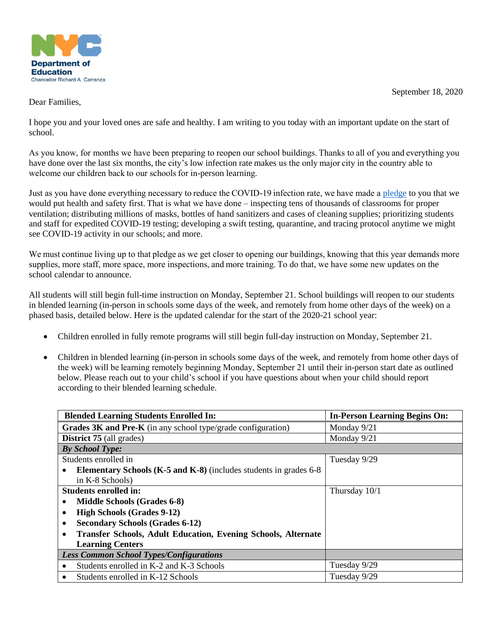

September 18, 2020

Dear Families,

I hope you and your loved ones are safe and healthy. I am writing to you today with an important update on the start of school.

As you know, for months we have been preparing to reopen our school buildings. Thanks to all of you and everything you have done over the last six months, the city's low infection rate makes us the only major city in the country able to welcome our children back to our schools for in-person learning. 

Just as you have done everything necessary to reduce the COVID-19 infection rate, we have made a [pledge](https://www.schools.nyc.gov/school-year-20-21/return-to-school-2020/back-to-school-pledge) to you that we would put health and safety first. That is what we have done – inspecting tens of thousands of classrooms for proper ventilation; distributing millions of masks, bottles of hand sanitizers and cases of cleaning supplies; prioritizing students and staff for expedited COVID-19 testing; developing a swift testing, quarantine, and tracing protocol anytime we might see COVID-19 activity in our schools; and more.

We must continue living up to that pledge as we get closer to opening our buildings, knowing that this year demands more supplies, more staff, more space, more inspections, and more training. To do that, we have some new updates on the school calendar to announce.

All students will still begin full-time instruction on Monday, September 21. School buildings will reopen to our students in blended learning (in-person in schools some days of the week, and remotely from home other days of the week) on a phased basis, detailed below. Here is the updated calendar for the start of the 2020-21 school year:

- Children enrolled in fully remote programs will still begin full-day instruction on Monday, September 21.
- Children in blended learning (in-person in schools some days of the week, and remotely from home other days of the week) will be learning remotely beginning Monday, September 21 until their in-person start date as outlined below. Please reach out to your child's school if you have questions about when your child should report according to their blended learning schedule.

| <b>Blended Learning Students Enrolled In:</b>                                     | <b>In-Person Learning Begins On:</b> |
|-----------------------------------------------------------------------------------|--------------------------------------|
| Grades 3K and Pre-K (in any school type/grade configuration)                      | Monday 9/21                          |
| <b>District 75</b> (all grades)                                                   | Monday 9/21                          |
| <b>By School Type:</b>                                                            |                                      |
| Students enrolled in                                                              | Tuesday 9/29                         |
| <b>Elementary Schools (K-5 and K-8)</b> (includes students in grades 6-8)         |                                      |
| in K-8 Schools)                                                                   |                                      |
| <b>Students enrolled in:</b>                                                      | Thursday 10/1                        |
| <b>Middle Schools (Grades 6-8)</b><br>$\bullet$                                   |                                      |
| <b>High Schools (Grades 9-12)</b><br>$\bullet$                                    |                                      |
| <b>Secondary Schools (Grades 6-12)</b><br>$\bullet$                               |                                      |
| <b>Transfer Schools, Adult Education, Evening Schools, Alternate</b><br>$\bullet$ |                                      |
| <b>Learning Centers</b>                                                           |                                      |
| <b>Less Common School Types/Configurations</b>                                    |                                      |
| Students enrolled in K-2 and K-3 Schools<br>٠                                     | Tuesday 9/29                         |
| Students enrolled in K-12 Schools<br>٠                                            | Tuesday 9/29                         |